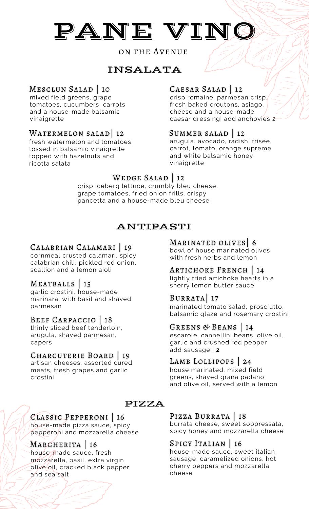# PANE VINO

on the Avenue

# INSALATA

### MESCLUN SALAD | 10

mixed field greens, grape tomatoes, cucumbers, carrots and a house-made balsamic vinaigrette

### WATERMELON SALAD 12

fresh watermelon and tomatoes, tossed in balsamic vinaigrette topped with hazelnuts and ricotta salata

# CAESAR SALAD | 12

crisp romaine, parmesan crisp, fresh baked croutons, asiago, cheese and a house-made caesar dressing| add anchovies 2

# SUMMER SALAD | 12

arugula, avocado, radish, frisee, carrot, tomato, orange supreme and white balsamic honey vinaigrette

# WEDGE SALAD 12

crisp iceberg lettuce, crumbly bleu cheese, grape tomatoes, fried onion frills, crispy pancetta and a house-made bleu cheese

# ANTIPASTI

### CALABRIAN CALAMARI | 19

cornmeal crusted calamari, spicy calabrian chili, pickled red onion, scallion and a lemon aioli

### MEATBALLS | 15

garlic crostini, house-made marinara, with basil and shaved parmesan

### BEEF CARPACCIO | 18

thinly sliced beef tenderloin, arugula, shaved parmesan, capers

### CHARCUTERIE BOARD | 19

artisan cheeses, assorted cured meats, fresh grapes and garlic crostini

# PIZZA

### CLASSIC PEPPERONI | 16

house-made pizza sauce, spicy pepperoni and mozzarella cheese

### MARGHERITA | 16

house-made sauce, fresh mozzarella, basil, extra virgin olive oil, cracked black pepper and sea salt

### MARINATED OLIVES 6

bowl of house marinated olives with fresh herbs and lemon

### ARTICHOKE FRENCH | 14

lightly fried artichoke hearts in a sherry lemon butter sauce

### BURRATA 17

marinated tomato salad, prosciutto, balsamic glaze and rosemary crostini

### GREENS & BEANS | 14

escarole, cannellini beans, olive oil, garlic and crushed red pepper add sausage | **2**

# LAMB LOLLIPOPS 24

house marinated, mixed field greens, shaved grana padano and olive oil, served with a lemon

### PIZZA BURRATA | 18

burrata cheese, sweet soppressata, spicy honey and mozzarella cheese

### SPICY ITALIAN | 16

house-made sauce, sweet italian sausage, caramelized onions, hot cherry peppers and mozzarella cheese